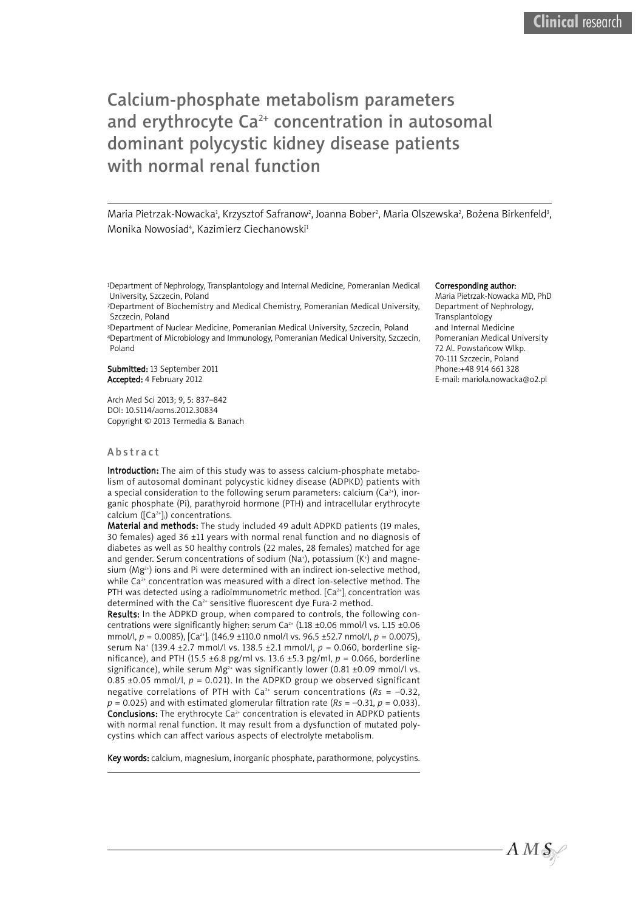# Calcium-phosphate metabolism parameters and erythrocyte Ca<sup>2+</sup> concentration in autosomal dominant polycystic kidney disease patients with normal renal function

Maria Pietrzak-Nowacka<sup>ı</sup>, Krzysztof Safranow<sup>2</sup>, Joanna Bober<sup>2</sup>, Maria Olszewska<sup>2</sup>, Bożena Birkenfeld<sup>3</sup>, Monika Nowosiad<sup>4</sup>, Kazimierz Ciechanowski<del>'</del>

1Department of Nephrology, Transplantology and Internal Medicine, Pomeranian Medical University, Szczecin, Poland

2Department of Biochemistry and Medical Chemistry, Pomeranian Medical University, Szczecin, Poland

3Department of Nuclear Medicine, Pomeranian Medical University, Szczecin, Poland 4Department of Microbiology and Immunology, Pomeranian Medical University, Szczecin, Poland

Submitted: 13 September 2011 Accepted: 4 February 2012

Arch Med Sci 2013; 9, 5: 837–842 DOI: 10.5114/aoms.2012.30834 Copyright © 2013 Termedia & Banach

#### **A** b s t r a c t

Introduction: The aim of this study was to assess calcium-phosphate metabolism of autosomal dominant polycystic kidney disease (ADPKD) patients with a special consideration to the following serum parameters: calcium (Ca $^{2+}$ ), inorganic phosphate (Pi), parathyroid hormone (PTH) and intracellular erythrocyte calcium ([Ca<sup>2+</sup>]<sub>i</sub>) concentrations.

Material and methods: The study included 49 adult ADPKD patients (19 males, 30 females) aged 36 ±11 years with normal renal function and no diagnosis of diabetes as well as 50 healthy controls (22 males, 28 females) matched for age and gender. Serum concentrations of sodium (Na†), potassium (K†) and magnesium (Mg $^{\scriptscriptstyle 2+}$ ) ions and Pi were determined with an indirect ion-selective method, while Ca<sup>2+</sup> concentration was measured with a direct ion-selective method. The PTH was detected using a radioimmunometric method. [Ca<sup>2+</sup>]; concentration was determined with the Ca<sup>2+</sup> sensitive fluorescent dye Fura-2 method.

Results: In the ADPKD group, when compared to controls, the following concentrations were significantly higher: serum Ca<sup>2+</sup> (1.18 ±0.06 mmol/l vs. 1.15 ±0.06 mmol/l, *p* = 0.0085), [Ca2+ ]i (146.9 ±110.0 nmol/l vs. 96.5 ±52.7 nmol/l, *p* = 0.0075), serum Na+ (139.4 ±2.7 mmol/l vs. 138.5 ±2.1 mmol/l, *p* = 0.060, borderline significance), and PTH (15.5 ±6.8 pg/ml vs. 13.6 ±5.3 pg/ml, *p* = 0.066, borderline significance), while serum  $Mg^{2+}$  was significantly lower (0.81 ±0.09 mmol/l vs. 0.85  $\pm$ 0.05 mmol/l,  $p = 0.021$ ). In the ADPKD group we observed significant negative correlations of PTH with Ca<sup>2+</sup> serum concentrations ( $Rs = -0.32$ ,  $p = 0.025$ ) and with estimated glomerular filtration rate ( $Rs = -0.31$ ,  $p = 0.033$ ). **Conclusions:** The erythrocyte  $Ca^{2+}$  concentration is elevated in ADPKD patients with normal renal function. It may result from a dysfunction of mutated polycystins which can affect various aspects of electrolyte metabolism.

Key words: calcium, magnesium, inorganic phosphate, parathormone, polycystins.

#### Corresponding author:

Maria Pietrzak-Nowacka MD, PhD Department of Nephrology, Transplantology and Internal Medicine Pomeranian Medical University 72 Al. Powstańcow Wlkp. 70-111 Szczecin, Poland Phone:+48 914 661 328 E-mail: mariola.nowacka@o2.pl

 $A\,M\,\mathcal{S}\neq$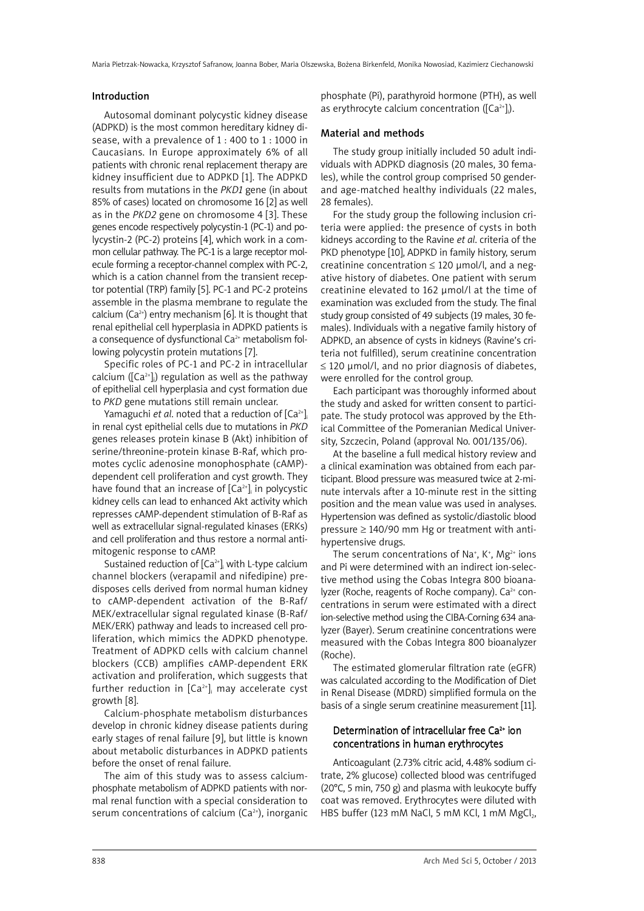#### Introduction

Autosomal dominant polycystic kidney disease (ADPKD) is the most common hereditary kidney disease, with a prevalence of 1 : 400 to 1 : 1000 in Caucasians. In Europe approximately 6% of all patients with chronic renal replacement therapy are kidney insufficient due to ADPKD [1]. The ADPKD results from mutations in the *PKD1* gene (in about 85% of cases) located on chromosome 16 [2] as well as in the *PKD2* gene on chromosome 4 [3]. These genes encode respectively polycystin-1 (PC-1) and polycystin-2 (PC-2) proteins [4], which work in a common cellular pathway. The PC-1 is a large receptor molecule forming a receptor-channel complex with PC-2, which is a cation channel from the transient receptor potential (TRP) family [5]. PC-1 and PC-2 proteins assemble in the plasma membrane to regulate the calcium (Ca<sup>2+</sup>) entry mechanism [6]. It is thought that renal epithelial cell hyperplasia in ADPKD patients is a consequence of dysfunctional  $Ca<sup>2+</sup>$  metabolism following polycystin protein mutations [7].

Specific roles of PC-1 and PC-2 in intracellular calcium ( $\left[\text{Ca}^{2+}\right]_i$ ) regulation as well as the pathway of epithelial cell hyperplasia and cyst formation due to *PKD* gene mutations still remain unclear.

Yamaguchi *et al*. noted that a reduction of [Ca<sup>2+</sup>]; in renal cyst epithelial cells due to mutations in *PKD* genes releases protein kinase B (Akt) inhibition of serine/threonine-protein kinase B-Raf, which promotes cyclic adenosine monophosphate (cAMP) dependent cell proliferation and cyst growth. They have found that an increase of  $[Ca^{2+}]_i$  in polycystic kidney cells can lead to enhanced Akt activity which represses cAMP-dependent stimulation of B-Raf as well as extracellular signal-regulated kinases (ERKs) and cell proliferation and thus restore a normal antimitogenic response to cAMP.

Sustained reduction of  $[Ca^{2+}]_i$  with L-type calcium channel blockers (verapamil and nifedipine) predisposes cells derived from normal human kidney to cAMP-dependent activation of the B-Raf/ MEK/extracellular signal regulated kinase (B-Raf/ MEK/ERK) pathway and leads to increased cell proliferation, which mimics the ADPKD phenotype. Treatment of ADPKD cells with calcium channel blockers (CCB) amplifies cAMP-dependent ERK activation and proliferation, which suggests that further reduction in [Ca $^{2+}$ ], may accelerate cyst growth [8].

Calcium-phosphate metabolism disturbances develop in chronic kidney disease patients during early stages of renal failure [9], but little is known about metabolic disturbances in ADPKD patients before the onset of renal failure.

The aim of this study was to assess calciumphosphate metabolism of ADPKD patients with normal renal function with a special consideration to serum concentrations of calcium (Ca<sup>2+</sup>), inorganic

phosphate (Pi), parathyroid hormone (PTH), as well as erythrocyte calcium concentration ([Ca $^{2+}$ ],).

#### Material and methods

The study group initially included 50 adult individuals with ADPKD diagnosis (20 males, 30 females), while the control group comprised 50 genderand age-matched healthy individuals (22 males, 28 females).

For the study group the following inclusion criteria were applied: the presence of cysts in both kidneys according to the Ravine *et al*. criteria of the PKD phenotype [10], ADPKD in family history, serum creatinine concentration  $\leq 120$  µmol/l, and a negative history of diabetes. One patient with serum creatinine elevated to 162 µmol/l at the time of examination was excluded from the study. The final study group consisted of 49 subjects (19 males, 30 females). Individuals with a negative family history of ADPKD, an absence of cysts in kidneys (Ravine's criteria not fulfilled), serum creatinine concentration ≤ 120 µmol/l, and no prior diagnosis of diabetes, were enrolled for the control group.

Each participant was thoroughly informed about the study and asked for written consent to participate. The study protocol was approved by the Ethical Committee of the Pomeranian Medical University, Szczecin, Poland (approval No. 001/135/06).

At the baseline a full medical history review and a clinical examination was obtained from each participant. Blood pressure was measured twice at 2-minute intervals after a 10-minute rest in the sitting position and the mean value was used in analyses. Hypertension was defined as systolic/diastolic blood pressure ≥ 140/90 mm Hg or treatment with antihypertensive drugs.

The serum concentrations of Na<sup>+</sup>, K<sup>+</sup>, Mg<sup>2+</sup> ions and Pi were determined with an indirect ion-selective method using the Cobas Integra 800 bioanalyzer (Roche, reagents of Roche company).  $Ca^{2+}$  concentrations in serum were estimated with a direct ion-selective method using the CIBA-Corning 634 analyzer (Bayer). Serum creatinine concentrations were measured with the Cobas Integra 800 bioanalyzer (Roche).

The estimated glomerular filtration rate (eGFR) was calculated according to the Modification of Diet in Renal Disease (MDRD) simplified formula on the basis of a single serum creatinine measurement [11].

## Determination of intracellular free Ca<sup>2+</sup> ion concentrations in human erythrocytes

Anticoagulant (2.73% citric acid, 4.48% sodium citrate, 2% glucose) collected blood was centrifuged (20°C, 5 min, 750 g) and plasma with leukocyte buffy coat was removed. Erythrocytes were diluted with HBS buffer (123 mM NaCl, 5 mM KCl, 1 mM MgCl<sub>2</sub>,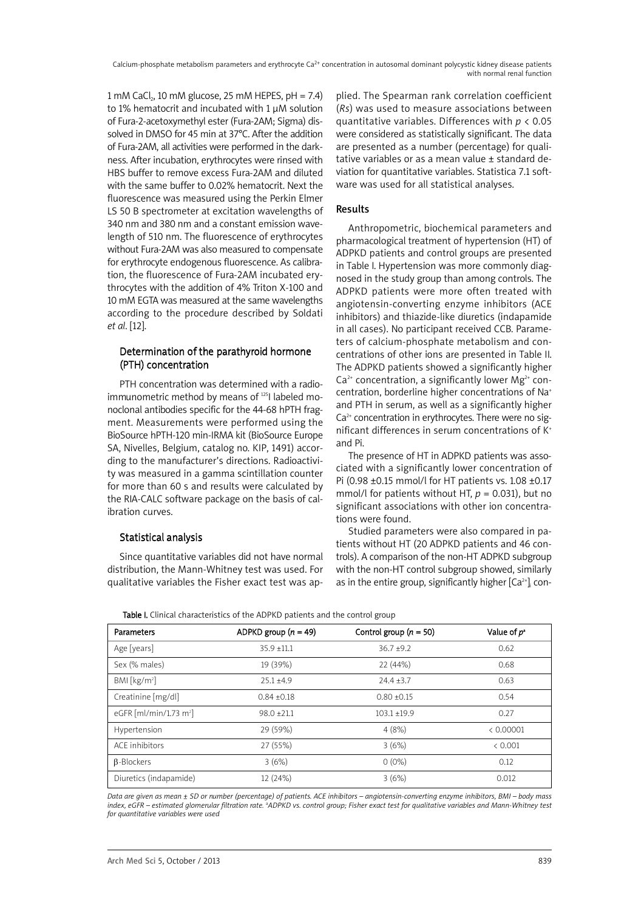Calcium-phosphate metabolism parameters and erythrocyte Ca<sup>2+</sup> concentration in autosomal dominant polycystic kidney disease patients with normal renal function

1 mM CaCl<sub>2</sub>, 10 mM glucose, 25 mM HEPES, pH = 7.4) to 1% hematocrit and incubated with 1 µM solution of Fura-2-acetoxymethyl ester (Fura-2AM; Sigma) dissolved in DMSO for 45 min at 37°C. After the addition of Fura-2AM, all activities were performed in the darkness. After incubation, erythrocytes were rinsed with HBS buffer to remove excess Fura-2AM and diluted with the same buffer to 0.02% hematocrit. Next the fluorescence was measured using the Perkin Elmer LS 50 B spectrometer at excitation wavelengths of 340 nm and 380 nm and a constant emission wavelength of 510 nm. The fluorescence of erythrocytes without Fura-2AM was also measured to compensate for erythrocyte endogenous fluorescence. As calibration, the fluorescence of Fura-2AM incubated erythrocytes with the addition of 4% Triton X-100 and 10 mM EGTA was measured at the same wavelengths according to the procedure described by Soldati *et al*. [12].

## Determination of the parathyroid hormone (PTH) concentration

PTH concentration was determined with a radioimmunometric method by means of <sup>125</sup>l labeled monoclonal antibodies specific for the 44-68 hPTH fragment. Measurements were performed using the BioSource hPTH-120 min-IRMA kit (BioSource Europe SA, Nivelles, Belgium, catalog no. KIP, 1491) according to the manufacturer's directions. Radioactivity was measured in a gamma scintillation counter for more than 60 s and results were calculated by the RIA-CALC software package on the basis of calibration curves.

## Statistical analysis

Since quantitative variables did not have normal distribution, the Mann-Whitney test was used. For qualitative variables the Fisher exact test was ap-

plied. The Spearman rank correlation coefficient (*Rs*) was used to measure associations between quantitative variables. Differences with *p* < 0.05 were considered as statistically significant. The data are presented as a number (percentage) for qualitative variables or as a mean value ± standard deviation for quantitative variables. Statistica 7.1 software was used for all statistical analyses.

## Results

Anthropometric, biochemical parameters and pharmacological treatment of hypertension (HT) of ADPKD patients and control groups are presented in Table I. Hypertension was more commonly diagnosed in the study group than among controls. The ADPKD patients were more often treated with angiotensin-converting enzyme inhibitors (ACE inhibitors) and thiazide-like diuretics (indapamide in all cases). No participant received CCB. Parameters of calcium-phosphate metabolism and concentrations of other ions are presented in Table II. The ADPKD patients showed a significantly higher  $Ca<sup>2+</sup>$  concentration, a significantly lower Mg<sup>2+</sup> concentration, borderline higher concentrations of Na+ and PTH in serum, as well as a significantly higher  $Ca<sup>2+</sup>$  concentration in erythrocytes. There were no significant differences in serum concentrations of K+ and Pi.

The presence of HT in ADPKD patients was associated with a significantly lower concentration of Pi (0.98 ±0.15 mmol/l for HT patients vs. 1.08 ±0.17 mmol/l for patients without HT,  $p = 0.031$ ), but no significant associations with other ion concentrations were found.

Studied parameters were also compared in patients without HT (20 ADPKD patients and 46 controls). A comparison of the non-HT ADPKD subgroup with the non-HT control subgroup showed, similarly as in the entire group, significantly higher  $[Ca^{2+}]$  con-

|  | Table I. Clinical characteristics of the ADPKD patients and the control group |  |  |
|--|-------------------------------------------------------------------------------|--|--|

| Parameters                         | ADPKD group $(n = 49)$ | Control group $(n = 50)$ | Value of p <sup>a</sup> |
|------------------------------------|------------------------|--------------------------|-------------------------|
| Age [years]                        | $35.9 + 11.1$          | $36.7 + 9.2$             | 0.62                    |
| Sex (% males)                      | 19 (39%)               | 22 (44%)                 | 0.68                    |
| BM [kg/m <sup>2</sup> ]            | $25.1 + 4.9$           | $74.4 + 3.7$             | 0.63                    |
| Creatinine [mg/dl]                 | $0.84 + 0.18$          | $0.80 + 0.15$            | 0.54                    |
| eGFR [ml/min/1.73 m <sup>2</sup> ] | $98.0 + 21.1$          | $103.1 + 19.9$           | 0.27                    |
| Hypertension                       | 29 (59%)               | 4(8%)                    | < 0.00001               |
| ACF inhibitors                     | 27 (55%)               | 3(6%)                    | < 0.001                 |
| <b>B-Blockers</b>                  | 3(6%)                  | $0(0\%)$                 | 0.12                    |
| Diuretics (indapamide)             | 12 (24%)               | 3(6%)                    | 0.012                   |

Data are aiven as mean + SD or number (percentage) of patients. ACE inhibitors – angiotensin-converting enzyme inhibitors. BMI – body mass index, eGFR – estimated glomerular filtration rate. ªADPKD vs. control group; Fisher exact test for qualitative variables and Mann-Whitney test *for quantitative variables were used*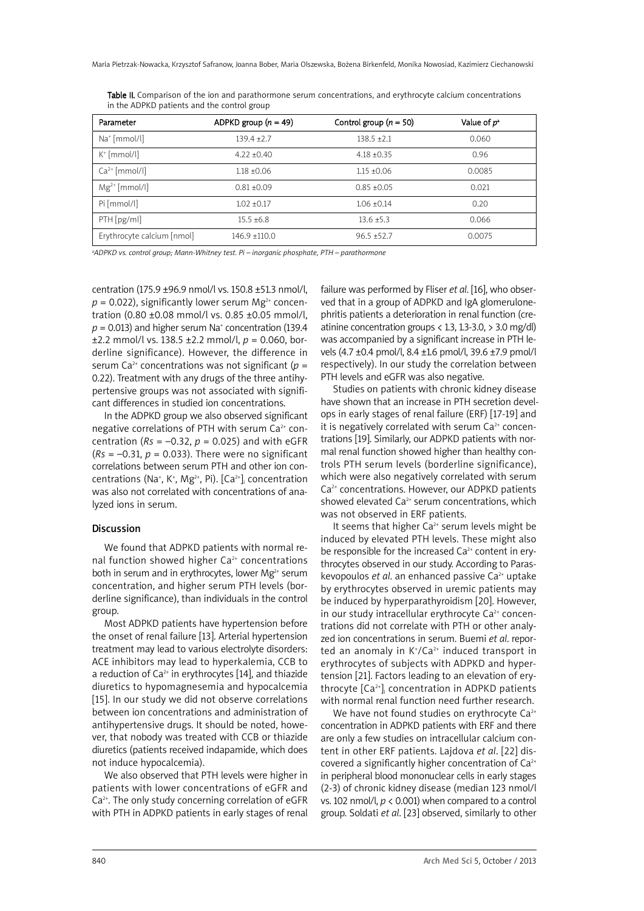| Parameter                  | ADPKD group $(n = 49)$ | Control group $(n = 50)$ | Value of p <sup>a</sup> |
|----------------------------|------------------------|--------------------------|-------------------------|
| $Na+ [mmol/l]$             | $139.4 + 2.7$          | $138.5 + 2.1$            | 0.060                   |
| $K^{\dagger}$ [mmol/l]     | $4.22 + 0.40$          | $4.18 + 0.35$            | 0.96                    |
| $Ca2+ [mmol/l]$            | $1.18 + 0.06$          | $1.15 + 0.06$            | 0.0085                  |
| $Mg^{2+}$ [mmol/l]         | $0.81 + 0.09$          | $0.85 + 0.05$            | 0.021                   |
| Pi [mmol/l]                | $1.02 + 0.17$          | $1.06 + 0.14$            | 0.20                    |
| $PTH$ [pg/ml]              | $15.5 + 6.8$           | $13.6 + 5.3$             | 0.066                   |
| Erythrocyte calcium [nmol] | $146.9 + 110.0$        | $96.5 + 52.7$            | 0.0075                  |

Table II. Comparison of the ion and parathormone serum concentrations, and erythrocyte calcium concentrations in the ADPKD patients and the control group

a *ADPKD vs. control group; Mann-Whitney test. Pi – inorganic phosphate, PTH – parathormone*

centration (175.9 ±96.9 nmol/l vs. 150.8 ±51.3 nmol/l,  $p = 0.022$ ), significantly lower serum Mg<sup>2+</sup> concentration (0.80 ±0.08 mmol/l vs. 0.85 ±0.05 mmol/l,  $p = 0.013$ ) and higher serum Na<sup>+</sup> concentration (139.4) ±2.2 mmol/l vs. 138.5 ±2.2 mmol/l, *p* = 0.060, borderline significance). However, the difference in serum Ca<sup>2+</sup> concentrations was not significant ( $p =$ 0.22). Treatment with any drugs of the three antihypertensive groups was not associated with significant differences in studied ion concentrations.

In the ADPKD group we also observed significant negative correlations of PTH with serum  $Ca<sup>2+</sup>$  concentration ( $Rs = -0.32$ ,  $p = 0.025$ ) and with eGFR  $(Rs = -0.31, p = 0.033)$ . There were no significant correlations between serum PTH and other ion concentrations (Na<sup>+</sup>, K<sup>+</sup>, Mg<sup>2+</sup>, Pi). [Ca<sup>2+</sup>], concentration was also not correlated with concentrations of analyzed ions in serum.

#### **Discussion**

We found that ADPKD patients with normal renal function showed higher  $Ca<sup>2+</sup>$  concentrations both in serum and in erythrocytes, lower Mg<sup>2+</sup> serum concentration, and higher serum PTH levels (borderline significance), than individuals in the control group.

Most ADPKD patients have hypertension before the onset of renal failure [13]. Arterial hypertension treatment may lead to various electrolyte disorders: ACE inhibitors may lead to hyperkalemia, CCB to a reduction of  $Ca^{2+}$  in erythrocytes [14], and thiazide diuretics to hypomagnesemia and hypocalcemia [15]. In our study we did not observe correlations between ion concentrations and administration of antihypertensive drugs. It should be noted, however, that nobody was treated with CCB or thiazide diuretics (patients received indapamide, which does not induce hypocalcemia).

We also observed that PTH levels were higher in patients with lower concentrations of eGFR and Ca<sup>2+</sup>. The only study concerning correlation of eGFR with PTH in ADPKD patients in early stages of renal failure was performed by Fliser *et al*. [16], who observed that in a group of ADPKD and IgA glomerulonephritis patients a deterioration in renal function (creatinine concentration groups  $\langle 1.3, 1.3, 3.0, \rangle$  3.0 mg/dl) was accompanied by a significant increase in PTH levels (4.7 ±0.4 pmol/l, 8.4 ±1.6 pmol/l, 39.6 ±7.9 pmol/l respectively). In our study the correlation between PTH levels and eGFR was also negative.

Studies on patients with chronic kidney disease have shown that an increase in PTH secretion develops in early stages of renal failure (ERF) [17-19] and it is negatively correlated with serum  $Ca<sup>2+</sup>$  concentrations [19]. Similarly, our ADPKD patients with normal renal function showed higher than healthy controls PTH serum levels (borderline significance), which were also negatively correlated with serum Ca<sup>2+</sup> concentrations. However, our ADPKD patients showed elevated Ca<sup>2+</sup> serum concentrations, which was not observed in ERF patients.

It seems that higher  $Ca^{2+}$  serum levels might be induced by elevated PTH levels. These might also be responsible for the increased  $Ca<sup>2+</sup>$  content in erythrocytes observed in our study. According to Paraskevopoulos *et al*. an enhanced passive Ca2+ uptake by erythrocytes observed in uremic patients may be induced by hyperparathyroidism [20]. However, in our study intracellular erythrocyte  $Ca<sup>2+</sup>$  concentrations did not correlate with PTH or other analyzed ion concentrations in serum. Buemi *et al*. reported an anomaly in K<sup>+</sup>/Ca<sup>2+</sup> induced transport in erythrocytes of subjects with ADPKD and hypertension [21]. Factors leading to an elevation of erythrocyte [Ca<sup>2+</sup>]¦ concentration in ADPKD patients with normal renal function need further research.

We have not found studies on erythrocyte  $Ca<sup>2+</sup>$ concentration in ADPKD patients with ERF and there are only a few studies on intracellular calcium content in other ERF patients. Lajdova *et al*. [22] discovered a significantly higher concentration of  $Ca^{2+}$ in peripheral blood mononuclear cells in early stages (2-3) of chronic kidney disease (median 123 nmol/l vs. 102 nmol/l, *p* < 0.001) when compared to a control group. Soldati *et al*. [23] observed, similarly to other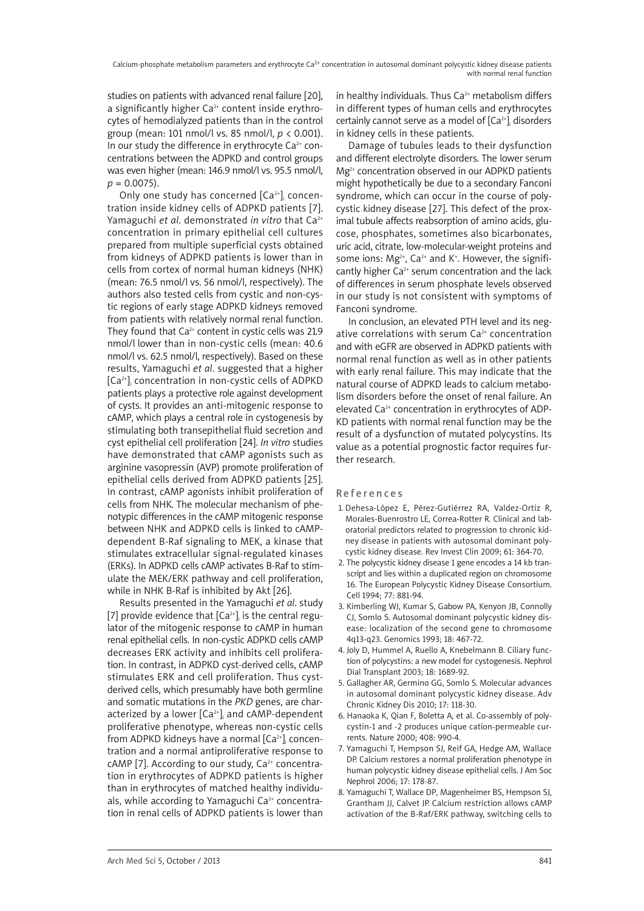studies on patients with advanced renal failure [20], a significantly higher  $Ca<sup>2+</sup>$  content inside erythrocytes of hemodialyzed patients than in the control group (mean: 101 nmol/l vs. 85 nmol/l, *p* < 0.001). In our study the difference in erythrocyte  $Ca<sup>2+</sup>$  concentrations between the ADPKD and control groups was even higher (mean: 146.9 nmol/l vs. 95.5 nmol/l,  $p = 0.0075$ ).

Only one study has concerned [Ca<sup>2+</sup>], concentration inside kidney cells of ADPKD patients [7]. Yamaguchi *et al*. demonstrated *in vitro* that Ca2+ concentration in primary epithelial cell cultures prepared from multiple superficial cysts obtained from kidneys of ADPKD patients is lower than in cells from cortex of normal human kidneys (NHK) (mean: 76.5 nmol/l vs. 56 nmol/l, respectively). The authors also tested cells from cystic and non-cystic regions of early stage ADPKD kidneys removed from patients with relatively normal renal function. They found that  $Ca^{2+}$  content in cystic cells was 21.9 nmol/l lower than in non-cystic cells (mean: 40.6 nmol/l vs. 62.5 nmol/l, respectively). Based on these results, Yamaguchi *et al*. suggested that a higher  $\left[\mathsf{Ca}^{2+}\right]$  concentration in non-cystic cells of ADPKD patients plays a protective role against development of cysts. It provides an anti-mitogenic response to cAMP, which plays a central role in cystogenesis by stimulating both transepithelial fluid secretion and cyst epithelial cell proliferation [24]. *In vitro* studies have demonstrated that cAMP agonists such as arginine vasopressin (AVP) promote proliferation of epithelial cells derived from ADPKD patients [25]. In contrast, cAMP agonists inhibit proliferation of cells from NHK. The molecular mechanism of phenotypic differences in the cAMP mitogenic response between NHK and ADPKD cells is linked to cAMPdependent B-Raf signaling to MEK, a kinase that stimulates extracellular signal-regulated kinases (ERKs). In ADPKD cells cAMP activates B-Raf to stimulate the MEK/ERK pathway and cell proliferation, while in NHK B-Raf is inhibited by Akt [26].

Results presented in the Yamaguchi *et al*. study [7] provide evidence that [Ca $^{2+}$ ] $_{\rm i}$  is the central regulator of the mitogenic response to cAMP in human renal epithelial cells. In non-cystic ADPKD cells cAMP decreases ERK activity and inhibits cell proliferation. In contrast, in ADPKD cyst-derived cells, cAMP stimulates ERK and cell proliferation. Thus cystderived cells, which presumably have both germline and somatic mutations in the *PKD* genes, are characterized by a lower [Ca $^{2+}$ ], and cAMP-dependent proliferative phenotype, whereas non-cystic cells from ADPKD kidneys have a normal [Ca $^{\scriptscriptstyle 2+}$ ], concentration and a normal antiproliferative response to cAMP [7]. According to our study,  $Ca<sup>2+</sup>$  concentration in erythrocytes of ADPKD patients is higher than in erythrocytes of matched healthy individuals, while according to Yamaguchi  $Ca<sup>2+</sup>$  concentration in renal cells of ADPKD patients is lower than in healthy individuals. Thus  $Ca<sup>2+</sup>$  metabolism differs in different types of human cells and erythrocytes certainly cannot serve as a model of  $[Ca^{2+}]\rangle$  disorders in kidney cells in these patients.

Damage of tubules leads to their dysfunction and different electrolyte disorders. The lower serum Mg<sup>2+</sup> concentration observed in our ADPKD patients might hypothetically be due to a secondary Fanconi syndrome, which can occur in the course of polycystic kidney disease [27]. This defect of the proximal tubule affects reabsorption of amino acids, glucose, phosphates, sometimes also bicarbonates, uric acid, citrate, low-molecular-weight proteins and some ions:  $Mg^{2+}$ , Ca<sup>2+</sup> and K<sup>+</sup>. However, the significantly higher  $Ca^{2+}$  serum concentration and the lack of differences in serum phosphate levels observed in our study is not consistent with symptoms of Fanconi syndrome.

In conclusion, an elevated PTH level and its negative correlations with serum  $Ca<sup>2+</sup>$  concentration and with eGFR are observed in ADPKD patients with normal renal function as well as in other patients with early renal failure. This may indicate that the natural course of ADPKD leads to calcium metabolism disorders before the onset of renal failure. An elevated Ca<sup>2+</sup> concentration in erythrocytes of ADP-KD patients with normal renal function may be the result of a dysfunction of mutated polycystins. Its value as a potential prognostic factor requires further research.

### References

- 1. Dehesa-López E, Pérez-Gutiérrez RA, Valdez-Ortiz R, Morales-Buenrostro LE, Correa-Rotter R. Clinical and laboratorial predictors related to progression to chronic kidney disease in patients with autosomal dominant polycystic kidney disease. Rev Invest Clin 2009; 61: 364-70.
- 2. The polycystic kidney disease 1 gene encodes a 14 kb transcript and lies within a duplicated region on chromosome 16. The European Polycystic Kidney Disease Consortium. Cell 1994; 77: 881-94.
- 3. Kimberling WJ, Kumar S, Gabow PA, Kenyon JB, Connolly CJ, Somlo S. Autosomal dominant polycystic kidney disease: localization of the second gene to chromosome 4q13-q23. Genomics 1993; 18: 467-72.
- 4. Joly D, Hummel A, Ruello A, Knebelmann B. Ciliary function of polycystins: a new model for cystogenesis. Nephrol Dial Transplant 2003; 18: 1689-92.
- 5. Gallagher AR, Germino GG, Somlo S. Molecular advances in autosomal dominant polycystic kidney disease. Adv Chronic Kidney Dis 2010; 17: 118-30.
- 6. Hanaoka K, Qian F, Boletta A, et al. Co-assembly of polycystin-1 and -2 produces unique cation-permeable currents. Nature 2000; 408: 990-4.
- 7. Yamaguchi T, Hempson SJ, Reif GA, Hedge AM, Wallace DP. Calcium restores a normal proliferation phenotype in human polycystic kidney disease epithelial cells. J Am Soc Nephrol 2006; 17: 178-87.
- 8. Yamaguchi T, Wallace DP, Magenheimer BS, Hempson SJ, Grantham JJ, Calvet JP. Calcium restriction allows cAMP activation of the B-Raf/ERK pathway, switching cells to